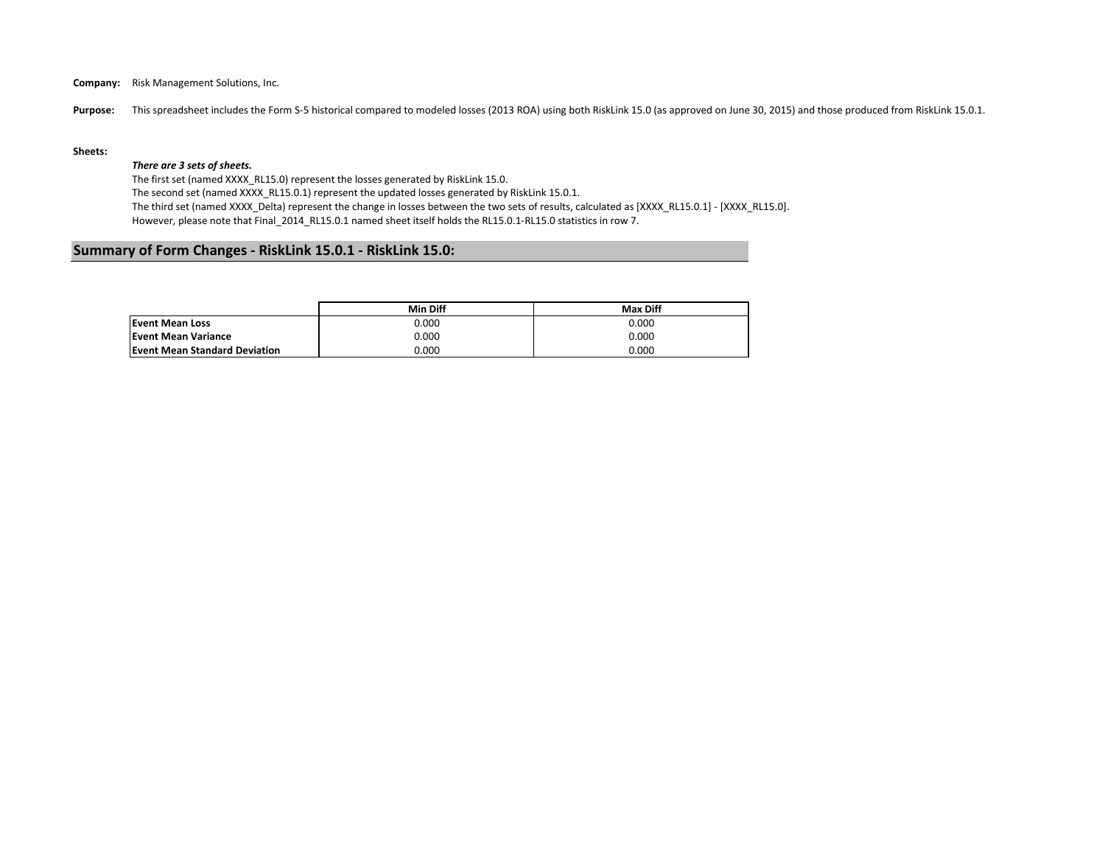**Company:** Risk Management Solutions, Inc.

Purpose: This spreadsheet includes the Form S-5 historical compared to modeled losses (2013 ROA) using both RiskLink 15.0 (as approved on June 30, 2015) and those produced from RiskLink 15.0.1.

#### **Sheets:**

### *There are 3 sets of sheets.*

The first set (named XXXX\_RL15.0) represent the losses generated by RiskLink 15.0.

The second set (named XXXX\_RL15.0.1) represent the updated losses generated by RiskLink 15.0.1.

The third set (named XXXX\_Delta) represent the change in losses between the two sets of results, calculated as [XXXX\_RL15.0.1] - [XXXX\_RL15.0]. However, please note that Final\_2014\_RL15.0.1 named sheet itself holds the RL15.0.1-RL15.0 statistics in row 7.

## **Summary of Form Changes - RiskLink 15.0.1 - RiskLink 15.0:**

|                                      | Min Diff | <b>Max Diff</b> |
|--------------------------------------|----------|-----------------|
| <b>Event Mean Loss</b>               | 0.000    | 0.000           |
| <b>Event Mean Variance</b>           | 0.000    | 0.000           |
| <b>Event Mean Standard Deviation</b> | 0.000    | 0.000           |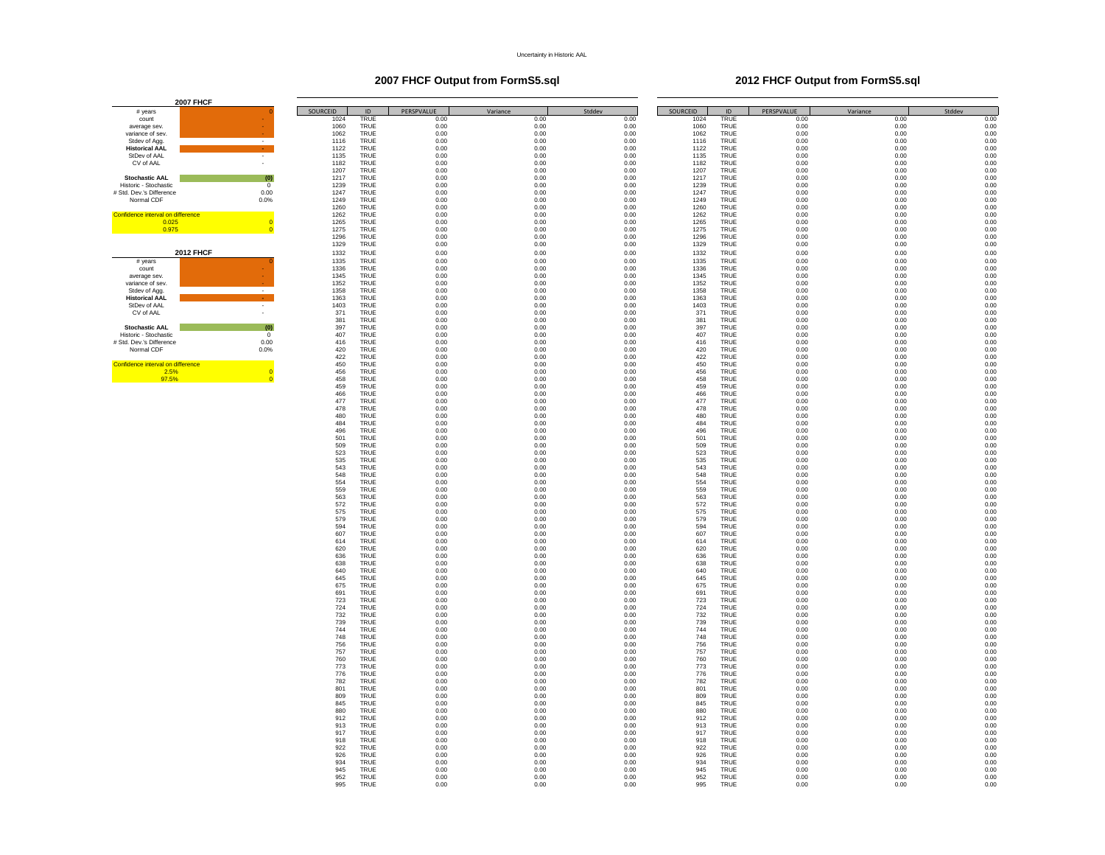### **2007 FHCF Output from FormS5.sql 2012 FHCF Output from FormS5.sql**

| count                             |                  |
|-----------------------------------|------------------|
| average sev.                      |                  |
| variance of sev.                  |                  |
| Stdev of Agg.                     | ٠                |
| <b>Historical AAL</b>             |                  |
| StDev of AAI                      | ٠                |
| CV of AAI                         |                  |
|                                   |                  |
| <b>Stochastic AAL</b>             | (0)              |
| Historic - Stochastic             | 0                |
| # Std. Dev.'s Difference          | 0.00             |
| Normal CDF                        | 0.0%             |
|                                   |                  |
| Confidence interval on difference |                  |
| 0.025                             | $\overline{0}$   |
| 0.975                             | $\overline{0}$   |
|                                   |                  |
|                                   |                  |
|                                   |                  |
|                                   | <b>2012 FHCF</b> |
| # years                           | $\overline{0}$   |
| count                             |                  |
| average sev.                      |                  |
| variance of sev.                  |                  |
| Stdev of Agg.                     |                  |
| <b>Historical AAL</b>             |                  |
| StDev of AAI                      |                  |
| CV of AAI                         |                  |
|                                   |                  |
| <b>Stochastic AAL</b>             | (0)              |
| Historic - Stochastic             | 0                |
| # Std. Dev.'s Difference          |                  |
|                                   | 0.00             |
| Normal CDF                        | 0.0%             |
| Confidence interval on difference |                  |
| 2.5%                              | 0                |

| <b>2007 FHCF</b>                               |                |              |                            |              |              |              |              |                            |              |              |              |
|------------------------------------------------|----------------|--------------|----------------------------|--------------|--------------|--------------|--------------|----------------------------|--------------|--------------|--------------|
| # years                                        |                | SOURCEID     | $\sf ID$                   | PERSPVALUE   | Variance     | Stddev       | SOURCEID     | $\sf ID$                   | PERSPVALUE   | Variance     | Stddev       |
| count                                          |                | 1024         | TRUE                       | 0.00         | 0.00         | 0.00         | 1024         | <b>TRUE</b>                | 0.00         | 0.00         | 0.00         |
| average sev.                                   |                | 1060         | <b>TRUE</b>                | 0.00         | 0.00         | 0.00         | 1060         | <b>TRUE</b>                | 0.00         | 0.00         | 0.00         |
| variance of sev.<br>Stdev of Agg               |                | 1062<br>1116 | TRUF<br><b>TRUE</b>        | 0.00<br>0.00 | 0.00<br>0.00 | 0.00<br>0.00 | 1062<br>1116 | TRUF<br><b>TRUE</b>        | 0.00<br>0.00 | 0.00<br>0.00 | 0.00<br>0.00 |
| <b>Historical AAL</b>                          |                | 1122         | TRUE                       | 0.00         | 0.00         | 0.00         | 1122         | TRUE                       | 0.00         | 0.00         | 0.00         |
| StDev of AAL                                   |                | 1135         | TRUE                       | 0.00         | 0.00         | 0.00         | 1135         | TRUE                       | 0.00         | 0.00         | 0.00         |
| CV of AAL                                      |                | 1182         | TRUE                       | 0.00         | 0.00         | 0.00         | 1182         | <b>TRUE</b>                | 0.00         | 0.00         | 0.00         |
| <b>Stochastic AAL</b>                          | (0)            | 1207<br>1217 | TRUE<br>TRUE               | 0.00<br>0.00 | 0.00<br>0.00 | 0.00<br>0.00 | 1207<br>1217 | <b>TRUE</b><br><b>TRUE</b> | 0.00<br>0.00 | 0.00<br>0.00 | 0.00<br>0.00 |
| Historic - Stochastic                          | $\circ$        | 1239         | TRUE                       | 0.00         | 0.00         | 0.00         | 1239         | TRUE                       | 0.00         | 0.00         | 0.00         |
| # Std. Dev.'s Difference                       | 0.00           | 1247         | TRUE                       | 0.00         | 0.00         | 0.00         | 1247         | TRUE                       | 0.00         | 0.00         | 0.00         |
| Normal CDF                                     | 0.0%           | 1249         | TRUE                       | 0.00         | 0.00         | 0.00         | 1249         | TRUE                       | 0.00         | 0.00         | 0.00         |
| Confidence interval on difference              |                | 1260<br>1262 | TRUE<br>TRUF               | 0.00<br>0.00 | 0.00<br>0.00 | 0.00<br>0.00 | 1260<br>1262 | <b>TRUE</b><br>TRUF        | 0.00<br>0.00 | 0.00<br>0.00 | 0.00<br>0.00 |
|                                                | $\overline{0}$ | 1265         | <b>TRUE</b>                | 0.00         | 0.00         | 0.00         | 1265         | <b>TRUE</b>                | 0.00         | 0.00         | 0.00         |
| $\frac{0.025}{0.975}$                          |                | 1275         | TRUE                       | 0.00         | 0.00         | 0.00         | 1275         | <b>TRUE</b>                | 0.00         | 0.00         | 0.00         |
|                                                |                | 1296         | TRUE                       | 0.00         | 0.00         | 0.00         | 1296         | TRUE                       | 0.00         | 0.00         | 0.00         |
|                                                |                | 1329         | TRUE                       | 0.00         | 0.00         | 0.00         | 1329         | TRUE                       | 0.00         | 0.00         | 0.00         |
| <b>2012 FHCF</b><br># vears                    |                | 1332<br>1335 | TRUE<br><b>TRUE</b>        | 0.00<br>0.00 | 0.00<br>0.00 | 0.00<br>0.00 | 1332<br>1335 | TRUE<br><b>TRUE</b>        | 0.00<br>0.00 | 0.00<br>0.00 | 0.00<br>0.00 |
| count                                          |                | 1336         | TRUF                       | 0.00         | 0.00         | 0.00         | 1336         | TRUF                       | 0.00         | 0.00         | 0.00         |
| average sev.                                   |                | 1345         | <b>TRUE</b>                | 0.00         | 0.00         | 0.00         | 1345         | TRUF                       | 0.00         | 0.00         | 0.00         |
| variance of sev.                               |                | 1352         | TRUE                       | 0.00         | 0.00         | 0.00         | 1352         | <b>TRUE</b>                | 0.00         | 0.00         | 0.00         |
| Stdev of Agg.<br><b>Historical AAL</b>         |                | 1358<br>1363 | TRUE<br>TRUE               | 0.00<br>0.00 | 0.00<br>0.00 | 0.00<br>0.00 | 1358<br>1363 | TRUE<br>TRUE               | 0.00<br>0.00 | 0.00<br>0.00 | 0.00<br>0.00 |
| StDev of AAL                                   |                | 1403         | TRUE                       | 0.00         | 0.00         | 0.00         | 1403         | <b>TRUE</b>                | 0.00         | 0.00         | 0.00         |
| CV of AAL                                      |                | 371          | TRUF                       | 0.00         | 0.00         | 0.00         | 371          | TRUF                       | 0.00         | 0.00         | 0.00         |
|                                                |                | 381          | TRUE                       | 0.00         | 0.00         | 0.00         | 381          | <b>TRUE</b>                | 0.00         | 0.00         | 0.00         |
| <b>Stochastic AAL</b><br>Historic - Stochastic | (0)<br>$\,0\,$ | 397<br>407   | <b>TRUE</b><br>TRUE        | 0.00<br>0.00 | 0.00<br>0.00 | 0.00<br>0.00 | 397<br>407   | <b>TRUE</b><br>TRUE        | 0.00<br>0.00 | 0.00<br>0.00 | 0.00<br>0.00 |
| # Std. Dev.'s Difference                       | 0.00           | 416          | TRUE                       | 0.00         | 0.00         | 0.00         | 416          | <b>TRUE</b>                | 0.00         | 0.00         | 0.00         |
| Normal CDF                                     | 0.0%           | 420          | TRUF                       | 0.00         | 0.00         | 0.00         | 420          | TRUF                       | 0.00         | 0.00         | 0.00         |
|                                                |                | 422          | TRUE                       | 0.00         | 0.00         | 0.00         | 422          | <b>TRUE</b>                | 0.00         | 0.00         | 0.00         |
| Confidence interval on difference<br>2.5%      | $\overline{0}$ | 450<br>456   | TRUE<br>TRUE               | 0.00<br>0.00 | 0.00<br>0.00 | 0.00<br>0.00 | 450<br>456   | <b>TRUE</b><br>TRUE        | 0.00<br>0.00 | 0.00<br>0.00 | 0.00<br>0.00 |
| 97.5%                                          |                | 458          | TRUE                       | 0.00         | 0.00         | 0.00         | 458          | <b>TRUE</b>                | 0.00         | 0.00         | 0.00         |
|                                                |                | 459          | <b>TRUE</b>                | 0.00         | 0.00         | 0.00         | 459          | <b>TRUE</b>                | 0.00         | 0.00         | 0.00         |
|                                                |                | 466          | TRUE                       | 0.00         | 0.00         | 0.00         | 466          | <b>TRUE</b>                | 0.00         | 0.00         | 0.00         |
|                                                |                | 477<br>478   | <b>TRUE</b><br>TRUE        | 0.00<br>0.00 | 0.00<br>0.00 | 0.00<br>0.00 | 477<br>478   | TRUF<br>TRUE               | 0.00<br>0.00 | 0.00<br>0.00 | 0.00<br>0.00 |
|                                                |                | 480          | TRUE                       | 0.00         | 0.00         | 0.00         | 480          | TRUE                       | 0.00         | 0.00         | 0.00         |
|                                                |                | 484          | <b>TRUE</b>                | 0.00         | 0.00         | 0.00         | 484          | <b>TRUE</b>                | 0.00         | 0.00         | 0.00         |
|                                                |                | 496          | TRUF                       | 0.00         | 0.00         | 0.00         | 496          | TRUF                       | 0.00         | 0.00         | 0.00         |
|                                                |                | 501<br>509   | <b>TRUE</b><br>TRUE        | 0.00<br>0.00 | 0.00<br>0.00 | 0.00<br>0.00 | 501<br>509   | TRUF<br><b>TRUE</b>        | 0.00<br>0.00 | 0.00<br>0.00 | 0.00<br>0.00 |
|                                                |                | 523          | TRUE                       | 0.00         | 0.00         | 0.00         | 523          | TRUE                       | 0.00         | 0.00         | 0.00         |
|                                                |                | 535          | TRUE                       | 0.00         | 0.00         | 0.00         | 535          | TRUE                       | 0.00         | 0.00         | 0.00         |
|                                                |                | 543          | TRUE                       | 0.00         | 0.00         | 0.00         | 543          | <b>TRUE</b>                | 0.00         | 0.00         | 0.00         |
|                                                |                | 548<br>554   | <b>TRUE</b><br><b>TRUE</b> | 0.00<br>0.00 | 0.00<br>0.00 | 0.00<br>0.00 | 548<br>554   | <b>TRUE</b><br>TRUF        | 0.00<br>0.00 | 0.00<br>0.00 | 0.00<br>0.00 |
|                                                |                | 559          | <b>TRUE</b>                | 0.00         | 0.00         | 0.00         | 559          | TRUF                       | 0.00         | 0.00         | 0.00         |
|                                                |                | 563          | TRUE                       | 0.00         | 0.00         | 0.00         | 563          | TRUE                       | 0.00         | 0.00         | 0.00         |
|                                                |                | 572          | <b>TRUE</b>                | 0.00         | 0.00         | 0.00         | 572          | <b>TRUE</b>                | 0.00         | 0.00         | 0.00         |
|                                                |                | 575<br>579   | TRUF<br><b>TRUE</b>        | 0.00<br>0.00 | 0.00<br>0.00 | 0.00<br>0.00 | 575<br>579   | TRUF<br><b>TRUE</b>        | 0.00<br>0.00 | 0.00<br>0.00 | 0.00<br>0.00 |
|                                                |                | 594          | TRUE                       | 0.00         | 0.00         | 0.00         | 594          | <b>TRUE</b>                | 0.00         | 0.00         | 0.00         |
|                                                |                | 607          | TRUE                       | 0.00         | 0.00         | 0.00         | 607          | <b>TRUE</b>                | 0.00         | 0.00         | 0.00         |
|                                                |                | 614          | TRUE                       | 0.00         | 0.00         | 0.00         | 614          | <b>TRUE</b>                | 0.00         | 0.00         | 0.00         |
|                                                |                | 620<br>636   | <b>TRUE</b><br>TRUE        | 0.00<br>0.00 | 0.00<br>0.00 | 0.00<br>0.00 | 620<br>636   | <b>TRUE</b><br><b>TRUE</b> | 0.00<br>0.00 | 0.00<br>0.00 | 0.00<br>0.00 |
|                                                |                | 638          | TRUF                       | 0.00         | 0.00         | 0.00         | 638          | TRUF                       | 0.00         | 0.00         | 0.00         |
|                                                |                | 640          | TRUE                       | 0.00         | 0.00         | 0.00         | 640          | <b>TRUE</b>                | 0.00         | 0.00         | 0.00         |
|                                                |                | 645<br>675   | TRUE                       | 0.00         | 0.00         | 0.00         | 645          | TRUE<br><b>TRUE</b>        | 0.00         | 0.00         | 0.00         |
|                                                |                | 691          | TRUE<br>TRUF               | 0.00<br>0.00 | 0.00<br>0.00 | 0.00<br>0.00 | 675<br>691   | TRUF                       | 0.00<br>0.00 | 0.00<br>0.00 | 0.00<br>0.00 |
|                                                |                | 723          | <b>TRUE</b>                | 0.00         | 0.00         | 0.00         | 723          | TRUF                       | 0.00         | 0.00         | 0.00         |
|                                                |                | 724          | <b>TRUE</b>                | 0.00         | 0.00         | 0.00         | 724          | <b>TRUE</b>                | 0.00         | 0.00         | 0.00         |
|                                                |                | 732          | TRUE                       | 0.00         | 0.00         | 0.00         | 732          | TRUE                       | 0.00         | 0.00         | 0.00         |
|                                                |                | 739<br>744   | TRUE<br><b>TRUE</b>        | 0.00<br>0.00 | 0.00<br>0.00 | 0.00<br>0.00 | 739<br>744   | TRUE<br><b>TRUE</b>        | 0.00<br>0.00 | 0.00<br>0.00 | 0.00<br>0.00 |
|                                                |                | 748          | <b>TRUE</b>                | 0.00         | 0.00         | 0.00         | 748          | <b>TRUE</b>                | 0.00         | 0.00         | 0.00         |
|                                                |                | 756          | TRUF                       | 0.00         | 0.00         | 0.00         | 756          | TRUF                       | 0.00         | 0.00         | 0.00         |
|                                                |                | 757          | <b>TRUE</b>                | 0.00         | 0.00         | 0.00         | 757          | TRUF                       | 0.00         | 0.00         | 0.00         |
|                                                |                | 760<br>773   | TRUE<br><b>TRUE</b>        | 0.00<br>0.00 | 0.00<br>0.00 | 0.00<br>0.00 | 760<br>773   | TRUE<br><b>TRUE</b>        | 0.00<br>0.00 | 0.00<br>0.00 | 0.00<br>0.00 |
|                                                |                | 776          | TRUE                       | 0.00         | 0.00         | 0.00         | 776          | TRUE                       | 0.00         | 0.00         | 0.00         |
|                                                |                | 782          | <b>TRUE</b>                | 0.00         | 0.00         | 0.00         | 782          | <b>TRUE</b>                | 0.00         | 0.00         | 0.00         |
|                                                |                | 801          | TRUE                       | 0.00         | 0.00         | 0.00         | 801          | <b>TRUE</b>                | 0.00         | 0.00         | 0.00         |
|                                                |                | 809<br>845   | TRUE<br>TRUE               | 0.00<br>0.00 | 0.00<br>0.00 | 0.00<br>0.00 | 809<br>845   | TRUE<br>TRUE               | 0.00<br>0.00 | 0.00<br>0.00 | 0.00<br>0.00 |
|                                                |                | 880          | TRUE                       | 0.00         | 0.00         | 0.00         | 880          | TRUE                       | 0.00         | 0.00         | 0.00         |
|                                                |                | 912          | TRUE                       | 0.00         | 0.00         | 0.00         | 912          | TRUE                       | 0.00         | 0.00         | 0.00         |
|                                                |                | 913          | TRUF                       | 0.00         | 0.00         | 0.00         | 913          | TRUF                       | 0.00         | 0.00         | 0.00         |
|                                                |                | 917<br>918   | <b>TRUE</b><br>TRUE        | 0.00<br>0.00 | 0.00<br>0.00 | 0.00<br>0.00 | 917<br>918   | TRUF<br>TRUE               | 0.00<br>0.00 | 0.00<br>0.00 | 0.00<br>0.00 |
|                                                |                | 922          | <b>TRUE</b>                | 0.00         | 0.00         | 0.00         | 922          | <b>TRUE</b>                | 0.00         | 0.00         | 0.00         |
|                                                |                | 926          | <b>TRUE</b>                | 0.00         | 0.00         | 0.00         | 926          | TRUE                       | 0.00         | 0.00         | 0.00         |
|                                                |                | 934<br>945   | <b>TRUE</b><br>TRUF        | 0.00<br>0.00 | 0.00<br>0.00 | 0.00<br>0.00 | 934<br>945   | <b>TRUE</b><br>TRUF        | 0.00<br>0.00 | 0.00<br>0.00 | 0.00<br>0.00 |
|                                                |                | 952          | <b>TRUE</b>                | 0.00         | 0.00         | 0.00         | 952          | TRUE                       | 0.00         | 0.00         | 0.00         |
|                                                |                | 995          | TRUE                       | 0.00         | 0.00         | 0.00         | 995          | <b>TRUE</b>                | 0.00         | 0.00         | 0.00         |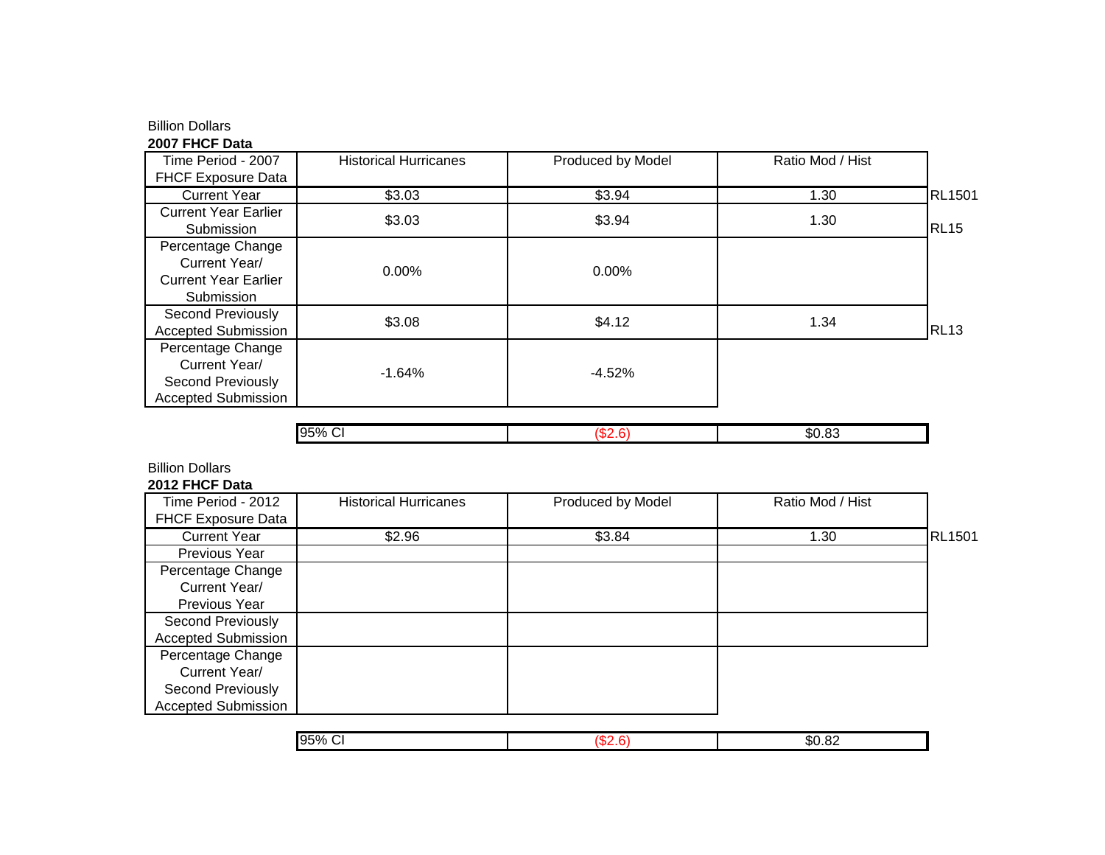## Billion Dollars

## **2007 FHCF Data**

| Time Period - 2007                                                                    | <b>Historical Hurricanes</b> | Produced by Model | Ratio Mod / Hist |               |
|---------------------------------------------------------------------------------------|------------------------------|-------------------|------------------|---------------|
| <b>FHCF Exposure Data</b>                                                             |                              |                   |                  |               |
| <b>Current Year</b>                                                                   | \$3.03                       | \$3.94            | 1.30             | <b>RL1501</b> |
| <b>Current Year Earlier</b><br>Submission                                             | \$3.03                       | \$3.94            | 1.30             | <b>RL15</b>   |
| Percentage Change<br>Current Year/<br><b>Current Year Earlier</b><br>Submission       | 0.00%                        | $0.00\%$          |                  |               |
| Second Previously<br><b>Accepted Submission</b>                                       | \$3.08                       | \$4.12            | 1.34             | <b>RL13</b>   |
| Percentage Change<br>Current Year/<br>Second Previously<br><b>Accepted Submission</b> | $-1.64%$                     | $-4.52%$          |                  |               |

|  |  | .nı |
|--|--|-----|
|--|--|-----|

# Billion Dollars

## **2012 FHCF Data**

| Time Period - 2012         | <b>Historical Hurricanes</b> | Produced by Model | Ratio Mod / Hist |               |
|----------------------------|------------------------------|-------------------|------------------|---------------|
| <b>FHCF Exposure Data</b>  |                              |                   |                  |               |
| <b>Current Year</b>        | \$2.96                       | \$3.84            | 1.30             | <b>RL1501</b> |
| Previous Year              |                              |                   |                  |               |
| Percentage Change          |                              |                   |                  |               |
| Current Year/              |                              |                   |                  |               |
| Previous Year              |                              |                   |                  |               |
| Second Previously          |                              |                   |                  |               |
| <b>Accepted Submission</b> |                              |                   |                  |               |
| Percentage Change          |                              |                   |                  |               |
| Current Year/              |                              |                   |                  |               |
| Second Previously          |                              |                   |                  |               |
| <b>Accepted Submission</b> |                              |                   |                  |               |

| $\sim$   |                              |
|----------|------------------------------|
| 95%<br>◡ | $\sim$<br>$\sim$<br>. ა∪. ∪∠ |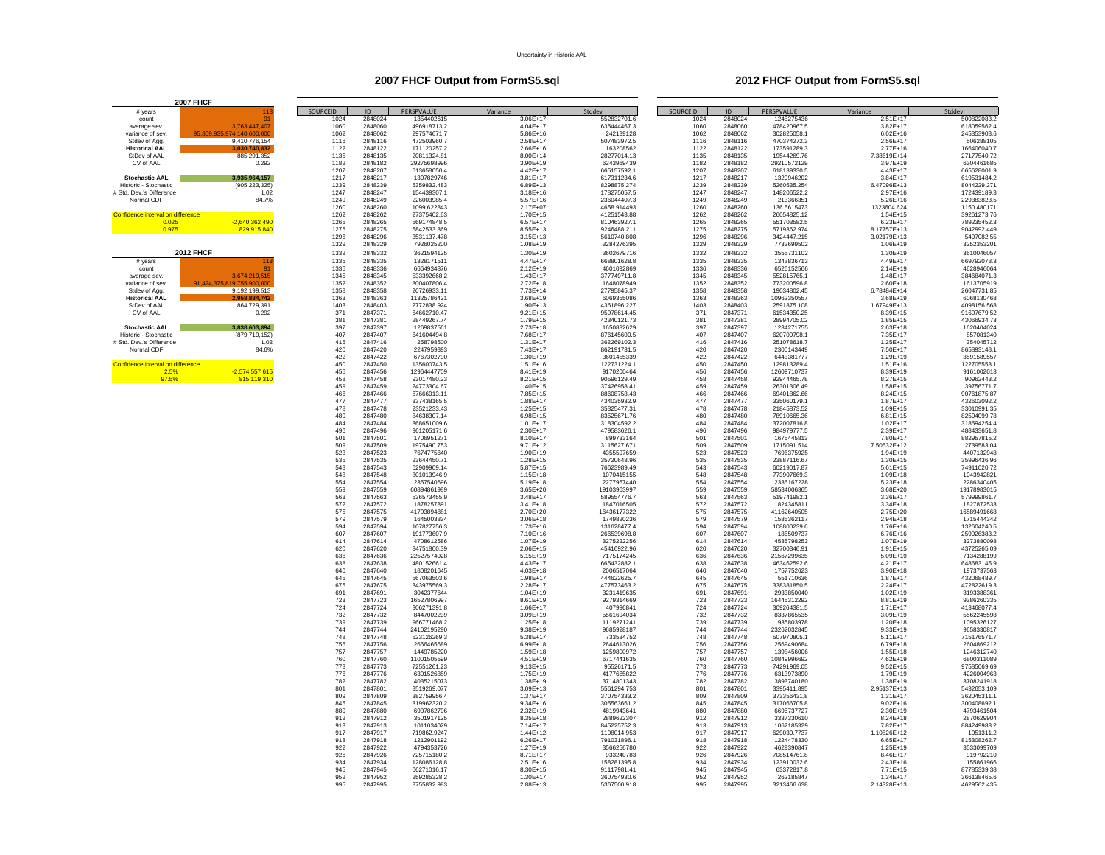### **2007 FHCF Output from FormS5.sql 2012 FHCF Output from FormS5.sql**

|                                   | <b>2007 FHCF</b>          |             |                    |                            |                            |                            |             |                    |                           |                            |                           |
|-----------------------------------|---------------------------|-------------|--------------------|----------------------------|----------------------------|----------------------------|-------------|--------------------|---------------------------|----------------------------|---------------------------|
| # years                           | 113                       | SOURCEID    | ID                 | PERSPVALUE                 | Variance                   | Stddev                     | SOURCEID    | ID                 | PERSPVALUE                | Variance                   | Stddev                    |
| count                             |                           | 1024        | 2848024            | 1354402615                 | 3.06E+17                   | 552832701.6                | 1024        | 2848024            | 1245275436                | 2.51E+17                   | 500822083.2               |
| average sev.                      | 3,763,447,407             | 1060        | 2848060            | 496918713.2                | $4.04E + 17$               | 635444467.3                | 1060        | 2848060            | 478420967.5               | 3.82E+17                   | 618059562.4               |
| variance of sev.                  | 95.809.935.974.140.600.00 | 1062        | 2848062            | 297574671.7                | $5.86E + 16$               | 242139128                  | 1062        | 2848062            | 302825058.1               | $6.02E + 16$               | 245353903.6               |
| Stdey of Agg.                     | 9.410.776.154             | 1116        | 2848116            | 472503960.7                | 2.58F+17                   | 507483972.5                | 1116        | 2848116            | 470374272.3               | $2.56F+17$                 | 506288105                 |
| <b>Historical AAL</b>             | 3.030.740.832             | 1122        | 2848122            | 171120257.2                | 2.66F+16                   | 163208562                  | 1122        | 2848122            | 173591289.3               | 2.77E+16                   | 166406040.7               |
| StDev of AAL                      | 885.291.352               | 1135        | 2848135            | 20811324.81                | 8.00E+14                   | 28277014.13                | 1135        | 2848135            | 19544269.76               | 7.38619E+14                | 27177540.72               |
| CV of AAL                         | 0.292                     | 1182        | 2848182            | 29275698996                | $3.90E + 19$               | 6243969439                 | 1182        | 2848182            | 29210572129               | 3.97E+19                   | 6304461685                |
|                                   |                           | 1207        | 2848207            | 613658050.4                | $4.42E+17$                 | 665157592.1                | 1207        | 2848207            | 618139330.5               | 4.43E+17                   | 665628001.9               |
| <b>Stochastic AAL</b>             | 3.935.964.157             | 1217        | 2848217            | 1307829746                 | $3.81F + 17$               | 617311234.6                | 1217        | 2848217            | 1329946202                | 3.84F+17                   | 619531484.2               |
| Historic - Stochastic             | (905, 223, 325)           | 1239        | 2848239            | 5359832.483                | $6.89E+13$                 | 8298875.274                | 1239        | 2848239            | 5260535.254               | 6.47096E+13                | 8044229.271               |
| # Std. Dev.'s Difference          | 1.02                      | 1247        | 2848247            | 154439307.                 | $3.18E + 16$               | 178275057.5                | 1247        | 2848247            | 148206522.2               | $2.97E+16$                 | 172439189.3               |
| Normal CDF                        | 84.7%                     | 1249        | 2848249            | 226003985.4                | $5.57E+16$                 | 236044407.3                | 1249        | 2848249            | 213366351                 | $5.26E + 16$               | 229383823.5               |
|                                   |                           | 1260        | 2848260            | 1099.622843                | 2.17E+07                   | 4658.914493                | 1260        | 2848260            | 136.5615473               | 1323604.624                | 1150.480171               |
| Confidence interval on difference |                           | 1262        | 2848262            | 27375402.63                | 1.70E+15                   | 41251543.88                | 1262        | 2848262            | 26054825.12               | $1.54E+15$                 | 39261273.76               |
| 0.025                             | $-2.640.362.490$          | 1265        | 2848265            | 569174848.5                | $6.57F + 17$               | 810463927.1                | 1265        | 2848265            | 551703582.5               | 6.23F+17                   | 789235452.3               |
| 0.975                             | 829,915,840               | 1275        | 2848275            | 5842533.369                | $8.55F + 13$               | 9246488.211                | 1275        | 2848275            | 5719362.974               | 8.17757E+13                | 9042992.449               |
|                                   |                           | 1296        | 2848296            | 3531137.478                | $3.15E + 13$               | 5610740.808                | 1296        | 2848296            | 3424447.215               | 3.02179E+13                | 5497082.55                |
|                                   |                           | 1329        | 2848329            | 7926025200                 | $1.08E + 19$               | 3284276395                 | 1329        | 2848329            | 7732699502                | 1.06E+19                   | 325235320                 |
|                                   | <b>2012 FHCF</b>          |             | 2848332            |                            |                            |                            |             |                    | 3555731102                |                            |                           |
|                                   |                           | 1332        | 2848335            | 3621594125                 | $1.30E + 19$               | 3602679716                 | 1332        | 2848332<br>2848335 | 1343836713                | $1.30E + 19$               | 3610046057                |
| # vears                           |                           | 1335        | 2848336            | 1328171511                 | $4.47E+17$                 | 668801628.8                | 1335        |                    |                           | 4.49E+17                   | 669792078.3               |
| count                             |                           | 1336        | 2848345            | 6664934876                 | $2.12E+19$                 | 4601092869                 | 1336        | 2848336            | 6526152566                | 2.14E+19                   | 4628946064                |
| average sev.                      | 3.674.219.515<br>5.900.00 | 1345        |                    | 533392668.2                | $1.43F + 17$               | 377749711.8                | 1345        | 2848345            | 552815765.1               | 1.48F+17                   | 384684071.3               |
| variance of sev.                  | 91,424,375,819,755        | 1352        | 2848352            | 800407806.4                | $2.72E+18$                 | 1648078949                 | 1352        | 2848352            | 773200596.8               | $2.60E+18$                 | 1613705919                |
| Stdev of Agg.                     | 9,192,199,513             | 1358        | 2848358            | 20726933.11                | 7.73E+14                   | 27795845.37                | 1358        | 2848358            | 19034802.45               | 6.78484E+14                | 26047731.85               |
| <b>Historical AAL</b>             | 2.958.884.742             | 1363        | 2848363            | 11325786421                | $3.68E + 19$               | 6069355086                 | 1363        | 2848363            | 10962350557               | 3.68E+19                   | 6068130468                |
| StDev of AAL                      | 864.729.391               | 1403<br>371 | 2848403<br>2847371 | 2772838.924                | $1.90E + 13$               | 4361896.227                | 1403<br>371 | 2848403            | 2591875.108               | 1.67949E+13                | 4098156.568               |
| CV of AAL                         | 0.292                     |             |                    | 64662710.47                | $9.21E + 15$               | 95978614.45                |             | 2847371            | 61534350.25               | 8.39E+15                   | 91607679.52               |
|                                   |                           | 381         | 2847381            | 28449267.74                | 1.79E+15                   | 42340121.73                | 381         | 2847381            | 28994705.02               | $1.85E + 15$               | 43066934.73               |
| <b>Stochastic AAL</b>             | 3,838,603,894             | 397         | 2847397            | 1269837561                 | $2.73E+18$                 | 1650832629                 | 397         | 2847397            | 1234271755                | $2.63E+18$                 | 1620404024                |
| Historic - Stochastic             | (879, 719, 152)           | 407         | 2847407            | 641604494.8                | 7.68E+17                   | 876145600.5                | 407         | 2847407            | 620709798.1               | 7.35E+17                   | 857081340                 |
| # Std. Dev.'s Difference          | 1.02                      | 416         | 2847416            | 258798500                  | $1.31E+17$                 | 362269102.3                | 416         | 2847416            | 251078618.7               | $1.25E+17$                 | 354045712                 |
| Normal CDF                        | 84.6%                     | 420         | 2847420            | 2247959393                 | 7.43F+17                   | 862191731.5                | 420         | 2847420            | 2300143449                | 7.50F+17                   | 865893148.1               |
|                                   |                           | 422         | 2847422            | 6767302790                 | $1.30E + 19$               | 3601455339                 | 422         | 2847422            | 6443381777                | $1.29E+19$                 | 3591589557                |
| Confidence interval on difference |                           | 450         | 2847450            | 135600743.5                | $1.51E+16$                 | 122731224.1                | 450         | 2847450            | 129813289.4               | $1.51E + 16$               | 122705553.1               |
| 2.5%                              | $-2,574,557,615$          | 456         | 2847456            | 12964447709                | $8.41E + 19$               | 9170200464                 | 456         | 2847456            | 12609710737               | 8.39E+19                   | 9161002013                |
| 97.5%                             | 815.119.310               | 458         | 2847458            | 93017480.23                | $8.21E+15$                 | 90596129.49                | 458         | 2847458            | 92944465.78               | 8.27E+15                   | 90962443.2                |
|                                   |                           | 459         | 2847459            | 24773304.67                | $1.40E + 15$               | 37426958.41                | 459         | 2847459            | 26301306.49               | 1.58E+15                   | 39756771.7                |
|                                   |                           | 466         | 2847466            | 67666013.11                | 7.85F+15                   | 88608758.43                | 466         | 2847466            | 69401862.66               | 8.24F+15                   | 90761875.87               |
|                                   |                           | 477         | 2847477            | 337438165.5                | 1.88E+17                   | 434035932.9                | 477         | 2847477            | 335060179.1               | $1.87E+17$                 | 432603092.2               |
|                                   |                           | 478         | 2847478            | 23521233.43                | $1.25E + 15$               | 35325477.31                | 478         | 2847478            | 21845873.52               | $1.09E + 15$               | 33010991.35               |
|                                   |                           | 480         | 2847480            | 84638307.14                | $6.98E + 15$               | 83525671.76                | 480         | 2847480            | 78910665.36               | $6.81E + 15$               | 82504099.78               |
|                                   |                           | 484         | 2847484            | 368651009.6                | $1.01E+17$                 | 318304592.2                | 484         | 2847484            | 372007816.8               | $1.02E+17$                 | 318594254.4               |
|                                   |                           | 496         | 2847496            | 961205171.6                | $2.30F + 17$               | 479583626.1                | 496         | 2847496            | 984979777.5               | 2.39F+17                   | 488433651.8               |
|                                   |                           | 501         | 2847501            | 1706951271                 | 8.10E+17                   | 899733164                  | 501         | 2847501            | 1675445813                | 7.80E+17                   | 882957815.2               |
|                                   |                           | 509         | 2847509            | 1975490.753                | $9.71E+12$                 | 3115627.671                | 509         | 2847509            | 1715091.514               | 7.50532E+12                | 2739583.04                |
|                                   |                           | 523         | 2847523            | 7674775640                 | $1.90E + 19$               | 4355597659                 | 523         | 2847523            | 7696375925                | $1.94E+19$                 | 4407132948                |
|                                   |                           | 535         | 2847535            | 23644450.71                | $1.28E + 15$               | 35720648.96                | 535         | 2847535            | 23887116.67               | $1.30E + 15$               | 35996436.96               |
|                                   |                           | 543         | 2847543            | 62909909.14                | $5.87E+15$                 | 76623989.49                | 543         | 2847543            | 60219017.87               | $5.61E+15$                 | 74911020.72               |
|                                   |                           | 548         | 2847548            | 801013946.9                | $1.15F + 18$               | 1070415155                 | 548         | 2847548            | 773907669.3               | $1.09F + 18$               | 1043942821                |
|                                   |                           | 554         | 2847554            | 2357540696                 | $5.19F + 18$               | 2277957440                 | 554         | 2847554            | 2336167228                | $5.23E+18$                 | 2286340405                |
|                                   |                           | 559         | 2847559            | 60894861989                | $3.65E + 20$               | 19103963997                | 559         | 2847559            | 58534006365               | 3.68E+20                   | 19178983015               |
|                                   |                           | 563         | 2847563            | 536573455.9                | $3.48E + 17$               | 589554776.7                | 563         | 2847563            | 519741982.1               | 3.36E+17                   | 579999861.7               |
|                                   |                           | 572         | 2847572            | 1878257891                 | $3.41F + 18$               | 1847016505                 | 572         | 2847572            | 1824345811                | $3.34F + 18$               | 1827872533                |
|                                   |                           | 575         | 2847575            | 41793894881                | $2.70F + 20$               | 16436177322                | 575         | 2847575            | 41162640505               | 2.75E+20                   | 16589491668               |
|                                   |                           | 579         | 2847579            | 1645003834                 | $3.06E + 18$               | 1749820236                 | 579         | 2847579            | 1585362117                | $2.94E+18$                 | 1715444342                |
|                                   |                           | 594         | 2847594            | 107827756.3                | $1.73E + 16$               | 131628477.4                | 594         | 2847594            | 108800239.6               | 1.76E+16                   | 132604240.5               |
|                                   |                           | 607         | 2847607            | 191773607.9                | 7.10E+16                   | 266539698.8                | 607         | 2847607            | 185509737                 | $6.76E + 16$               | 259926383.2               |
|                                   |                           | 614         | 2847614<br>2847620 | 4708612586<br>34751800.39  | $1.07E + 19$               | 3275222256                 | 614<br>620  | 2847614<br>2847620 | 4585798253<br>32700346.91 | 1.07E+19                   | 3273880098<br>43725265.09 |
|                                   |                           | 620         |                    |                            | $2.06F + 15$               | 45416922.96                |             |                    |                           | $1.91F+15$                 |                           |
|                                   |                           | 636         | 2847636            | 22527574028                | $5.15E+19$                 | 7175174245                 | 636         | 2847636            | 21567299635               | 5.09E+19                   | 7134288199                |
|                                   |                           | 638<br>640  | 2847638<br>2847640 | 480152661.4<br>1808201645  | $4.43E+17$<br>$4.03E + 18$ | 665432882.1<br>2006517064  | 638<br>640  | 2847638<br>2847640 | 463462592.6<br>1757752623 | $4.21E+17$<br>$3.90E + 18$ | 648683145.9<br>1973737563 |
|                                   |                           | 645         | 2847645            |                            | $1.98E+17$                 |                            |             | 2847645            |                           | $1.87E+17$                 | 432068489.7               |
|                                   |                           | 675         | 2847675            | 567063503.6<br>343975569.3 | $2.28E+17$                 | 444622625.7<br>477573463.2 | 645<br>675  | 2847675            | 551710636<br>338381850.5  | 2.24E+17                   | 472822619.3               |
|                                   |                           |             | 2847691            | 3042377644                 | $1.04F + 19$               | 3231419635                 |             | 2847691            | 2933850040                |                            |                           |
|                                   |                           | 691<br>723  | 2847723            | 16527806997                | $8.61E + 19$               | 9279314669                 | 691<br>723  | 2847723            | 16445312292               | $1.02E + 19$<br>8.81E+19   | 3193388361<br>9386260335  |
|                                   |                           |             |                    |                            |                            |                            |             |                    |                           |                            |                           |
|                                   |                           | 724<br>732  | 2847724<br>2847732 | 306271391.8<br>8447002239  | $1.66E+17$<br>$3.09E + 19$ | 407996841<br>5561694034    | 724<br>732  | 2847724<br>2847732 | 309264381.5<br>8337865535 | 1.71E+17<br>3.09E+19       | 413468077.4<br>5562245598 |
|                                   |                           | 739         | 2847739            | 966771468.2                | $1.25E+18$                 | 1119271241                 | 739         | 2847739            | 935803978                 | $1.20E + 18$               | 1095326127                |
|                                   |                           | 744         | 2847744            | 24102195290                | $9.38F + 19$               | 9685928187                 | 744         | 2847744            | 23262032845               | $9.33F + 19$               | 9658330817                |
|                                   |                           | 748         | 2847748            | 523126269.3                | 5.38F+17                   | 733534752                  | 748         | 2847748            | 507970805.1               | $5.11E+17$                 | 715176571.7               |
|                                   |                           | 756         | 2847756            | 2666465689                 | $6.99E + 18$               | 2644613026                 | 756         | 2847756            | 2569490684                | $6.79E + 18$               | 2604869212                |
|                                   |                           | 757         | 2847757            | 1449785220                 | $1.59E + 18$               | 1259800972                 | 757         | 2847757            | 1398456006                | $1.55E+18$                 | 1246312740                |
|                                   |                           | 760         | 2847760            | 11001505599                | $4.51E + 19$               | 6717441635                 | 760         | 2847760            | 10849996692               | $4.62E + 19$               | 6800311089                |
|                                   |                           | 773         | 2847773            | 72551261.23                | $9.13E + 15$               | 95526171.5                 | 773         | 2847773            | 74291969.05               | $9.52E + 15$               | 97585069.69               |
|                                   |                           | 776         | 2847776            | 6301526859                 | $1.75F + 19$               | 4177665822                 | 776         | 2847776            | 6313973890                | 1.79F+19                   | 4226004963                |
|                                   |                           | 782         | 2847782            | 4035215073                 | $1.38E + 19$               | 3714801343                 | 782         | 2847782            | 3893740180                | 1.38E+19                   | 3708241918                |
|                                   |                           | 801         | 2847801            | 3519269.077                | $3.09E + 13$               | 5561294.753                | 801         | 2847801            | 3395411.895               | 2.95137E+13                | 5432653.109               |
|                                   |                           | 809         | 2847809            | 382759956.4                | $1.37E + 17$               | 370754333.2                | 809         | 2847809            | 373356431.8               | $1.31E+17$                 | 362045311.1               |
|                                   |                           | 845         | 2847845            | 319962320.2                | $9.34F + 16$               | 305563661.2                | 845         | 2847845            | 317066705.8               | $9.02F + 16$               | 300408692.                |
|                                   |                           | 880         | 2847880            | 6907862706                 | $2.32F + 19$               | 4819943641                 | 880         | 2847880            | 6695737727                | $2.30F + 19$               | 4793461504                |
|                                   |                           | 912         | 2847912            | 3501917125                 | $8.35E+18$                 | 2889622307                 | 912         | 2847912            | 3337330610                | $8.24E + 18$               | 2870629904                |
|                                   |                           | 913         | 2847913            | 1011034029                 | $7.14E+17$                 | 845225752.3                | 913         | 2847913            | 1062185329                | 7.82E+17                   | 884249983.2               |
|                                   |                           | 917         | 2847917            | 719862.9247                | $1.44E+12$                 | 1198014.953                | 917         | 2847917            | 629030.7737               | 1.10526E+12                | 1051311.2                 |
|                                   |                           | 918         | 2847918            | 1212901192                 | $6.26E+17$                 | 791031896.1                | 918         | 2847918            | 1224478330                | 6.65E+17                   | 815308262.7               |
|                                   |                           | 922         | 2847922            | 4794353726                 | $1.27F + 19$               | 3566256780                 | 922         | 2847922            | 4629390847                | $1.25F + 19$               | 3533099709                |
|                                   |                           | 926         | 2847926            | 725715180.2                | $8.71E+17$                 | 933240783                  | 926         | 2847926            | 708514761.8               | 8.46F+17                   | 919792210                 |
|                                   |                           | 934         | 2847934            | 128086128.8                | $2.51E+16$                 | 158281395.8                | 934         | 2847934            | 123910032.6               | $2.43E+16$                 | 155861966                 |
|                                   |                           | 945         | 2847945            | 66271016.17                | 8.30E+15                   | 91117981.41                | 945         | 2847945            | 63372817.8                | 7.71E+15                   | 87785339.38               |
|                                   |                           | 952         | 2847952            | 259285328.2                | $1.30E + 17$               | 360754930.6                | 952         | 2847952            | 262185847                 | 1.34E+17                   | 366138465.6               |
|                                   |                           | 995         | 2847995            | 3755832.983                | 2.88F+13                   | 5367500.918                | 995         | 2847995            | 3213466.638               | 2.14328F+13                | 4629562.435               |
|                                   |                           |             |                    |                            |                            |                            |             |                    |                           |                            |                           |

| count                             | 91                         |
|-----------------------------------|----------------------------|
| average sev.                      | 3.763.447.407              |
| variance of sev.                  | 95,809,935,974,140,600,000 |
| Stdev of Agg.                     | 9,410,776,154              |
| <b>Historical AAL</b>             | 3.030.740.832              |
| StDev of AAI                      | 885,291,352                |
| CV of AAI                         | 0.292                      |
|                                   |                            |
| <b>Stochastic AAL</b>             | 3.935.964.157              |
| Historic - Stochastic             | (905.223.325)              |
| # Std. Dev.'s Difference          | 1.02                       |
| Normal CDF                        | 84.7%                      |
|                                   |                            |
| Confidence interval on difference |                            |
| 0.025                             | $-2.640.362.490$           |
| 0.975                             | 829.915.840                |
|                                   |                            |
|                                   | <b>2012 FHCF</b>           |
| # vears                           | 113                        |
| count                             | 91                         |
| average sev.                      | 3.674.219.515              |
| variance of sev.                  | 91,424,375,819,755,900,000 |
| Stdev of Agg.                     | 9,192,199,513              |
| <b>Historical AAL</b>             | 2.958.884.742              |
| StDev of AAL                      | 864.729.391                |
| CV of AAL                         | 0.292                      |
|                                   |                            |
| <b>Stochastic AAL</b>             | 3.838.603.894              |
| Historic - Stochastic             | (879,719,152)              |
| # Std. Dev.'s Difference          | 1.02                       |
| Normal CDF                        | 84.6%                      |
|                                   |                            |
|                                   |                            |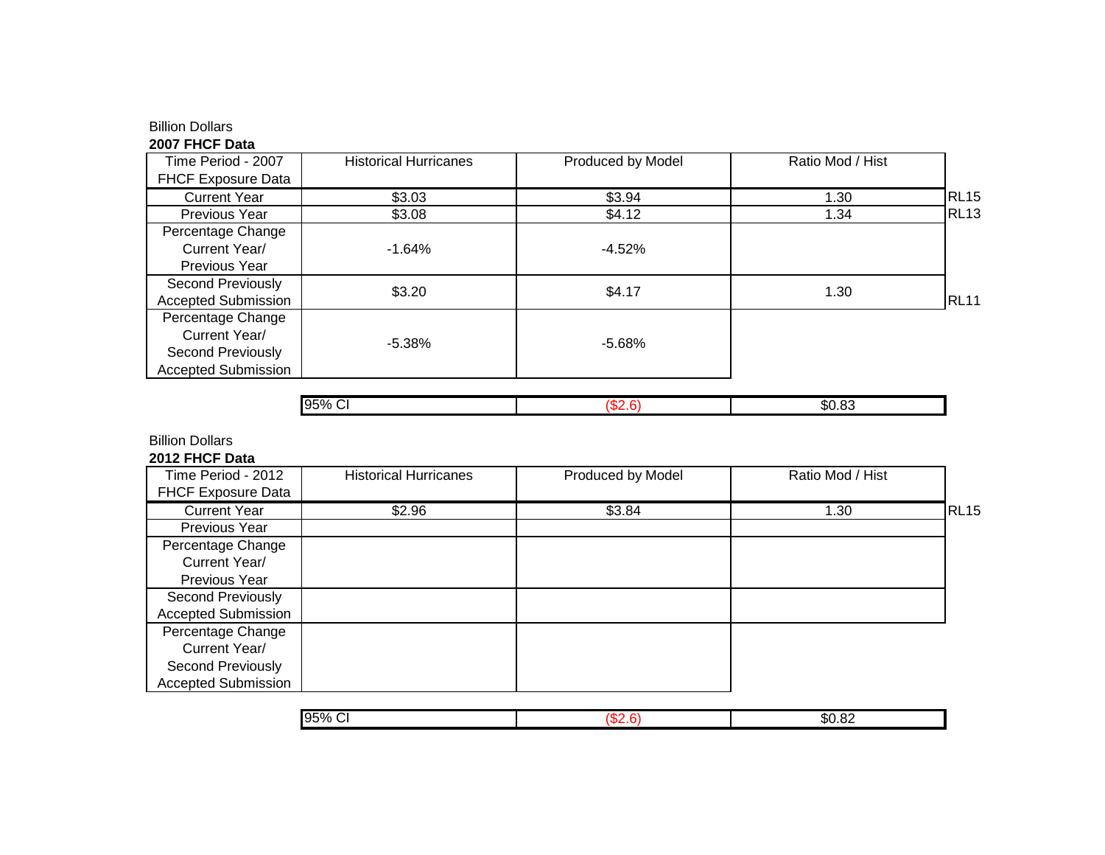# Billion Dollars

## **2007 FHCF Data**

| Time Period - 2007         | <b>Historical Hurricanes</b> | Produced by Model | Ratio Mod / Hist |             |
|----------------------------|------------------------------|-------------------|------------------|-------------|
| <b>FHCF Exposure Data</b>  |                              |                   |                  |             |
| <b>Current Year</b>        | \$3.03                       | \$3.94            | 1.30             | <b>RL15</b> |
| Previous Year              | \$3.08                       | \$4.12            | 1.34             | <b>RL13</b> |
| Percentage Change          |                              |                   |                  |             |
| Current Year/              | $-1.64%$                     | $-4.52%$          |                  |             |
| Previous Year              |                              |                   |                  |             |
| Second Previously          | \$3.20                       | \$4.17            | 1.30             |             |
| <b>Accepted Submission</b> |                              |                   |                  | <b>RL11</b> |
| Percentage Change          |                              |                   |                  |             |
| Current Year/              | $-5.38\%$                    | $-5.68%$          |                  |             |
| Second Previously          |                              |                   |                  |             |
| <b>Accepted Submission</b> |                              |                   |                  |             |

|  | ות.<br>___ |
|--|------------|
|  |            |

Billion Dollars

**2012 FHCF Data**

| Time Period - 2012         | <b>Historical Hurricanes</b> | Produced by Model | Ratio Mod / Hist |             |
|----------------------------|------------------------------|-------------------|------------------|-------------|
| <b>FHCF Exposure Data</b>  |                              |                   |                  |             |
| <b>Current Year</b>        | \$2.96                       | \$3.84            | 1.30             | <b>RL15</b> |
| Previous Year              |                              |                   |                  |             |
| Percentage Change          |                              |                   |                  |             |
| Current Year/              |                              |                   |                  |             |
| Previous Year              |                              |                   |                  |             |
| Second Previously          |                              |                   |                  |             |
| <b>Accepted Submission</b> |                              |                   |                  |             |
| Percentage Change          |                              |                   |                  |             |
| Current Year/              |                              |                   |                  |             |
| Second Previously          |                              |                   |                  |             |
| <b>Accepted Submission</b> |                              |                   |                  |             |

| 95%<br>- - -<br>. . | т.<br>$\sim$<br>.DU<br>.uz<br>___ |
|---------------------|-----------------------------------|
|                     |                                   |